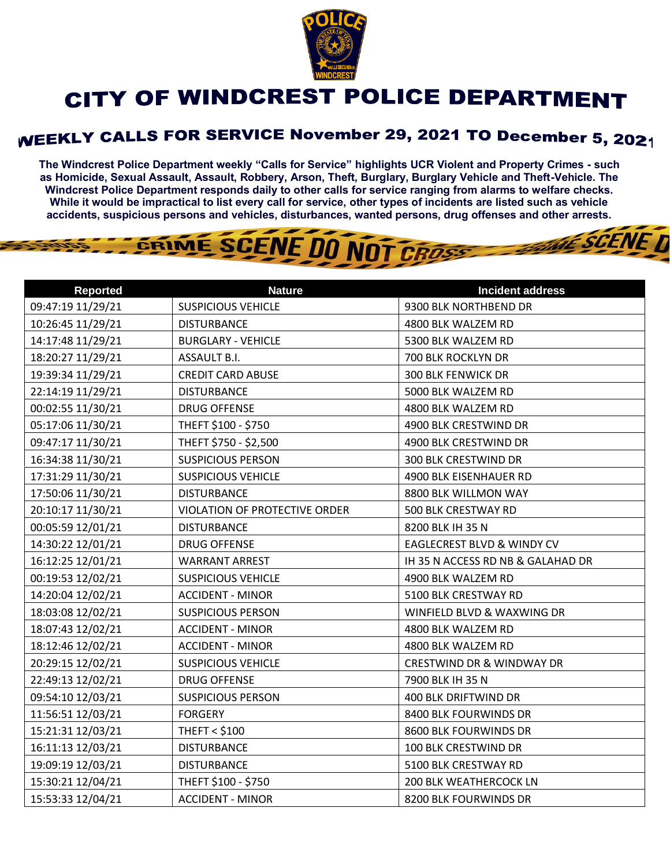

## CITY OF WINDCREST POLICE DEPARTMENT

## **WEEKLY CALLS FOR SERVICE November 29, 2021 TO December 5, 2021**

**The Windcrest Police Department weekly "Calls for Service" highlights UCR Violent and Property Crimes - such as Homicide, Sexual Assault, Assault, Robbery, Arson, Theft, Burglary, Burglary Vehicle and Theft-Vehicle. The Windcrest Police Department responds daily to other calls for service ranging from alarms to welfare checks. While it would be impractical to list every call for service, other types of incidents are listed such as vehicle accidents, suspicious persons and vehicles, disturbances, wanted persons, drug offenses and other arrests.** 

THE SCENE D

## GRIME SCENE DO NOT CROSS

| <b>Reported</b>   | <b>Nature</b>                 | <b>Incident address</b>               |
|-------------------|-------------------------------|---------------------------------------|
| 09:47:19 11/29/21 | <b>SUSPICIOUS VEHICLE</b>     | 9300 BLK NORTHBEND DR                 |
| 10:26:45 11/29/21 | <b>DISTURBANCE</b>            | 4800 BLK WALZEM RD                    |
| 14:17:48 11/29/21 | <b>BURGLARY - VEHICLE</b>     | 5300 BLK WALZEM RD                    |
| 18:20:27 11/29/21 | ASSAULT B.I.                  | 700 BLK ROCKLYN DR                    |
| 19:39:34 11/29/21 | <b>CREDIT CARD ABUSE</b>      | <b>300 BLK FENWICK DR</b>             |
| 22:14:19 11/29/21 | <b>DISTURBANCE</b>            | 5000 BLK WALZEM RD                    |
| 00:02:55 11/30/21 | <b>DRUG OFFENSE</b>           | 4800 BLK WALZEM RD                    |
| 05:17:06 11/30/21 | THEFT \$100 - \$750           | 4900 BLK CRESTWIND DR                 |
| 09:47:17 11/30/21 | THEFT \$750 - \$2,500         | 4900 BLK CRESTWIND DR                 |
| 16:34:38 11/30/21 | <b>SUSPICIOUS PERSON</b>      | 300 BLK CRESTWIND DR                  |
| 17:31:29 11/30/21 | <b>SUSPICIOUS VEHICLE</b>     | 4900 BLK EISENHAUER RD                |
| 17:50:06 11/30/21 | <b>DISTURBANCE</b>            | 8800 BLK WILLMON WAY                  |
| 20:10:17 11/30/21 | VIOLATION OF PROTECTIVE ORDER | 500 BLK CRESTWAY RD                   |
| 00:05:59 12/01/21 | <b>DISTURBANCE</b>            | 8200 BLK IH 35 N                      |
| 14:30:22 12/01/21 | <b>DRUG OFFENSE</b>           | <b>EAGLECREST BLVD &amp; WINDY CV</b> |
| 16:12:25 12/01/21 | <b>WARRANT ARREST</b>         | IH 35 N ACCESS RD NB & GALAHAD DR     |
| 00:19:53 12/02/21 | <b>SUSPICIOUS VEHICLE</b>     | 4900 BLK WALZEM RD                    |
| 14:20:04 12/02/21 | <b>ACCIDENT - MINOR</b>       | 5100 BLK CRESTWAY RD                  |
| 18:03:08 12/02/21 | <b>SUSPICIOUS PERSON</b>      | WINFIELD BLVD & WAXWING DR            |
| 18:07:43 12/02/21 | <b>ACCIDENT - MINOR</b>       | 4800 BLK WALZEM RD                    |
| 18:12:46 12/02/21 | <b>ACCIDENT - MINOR</b>       | 4800 BLK WALZEM RD                    |
| 20:29:15 12/02/21 | <b>SUSPICIOUS VEHICLE</b>     | <b>CRESTWIND DR &amp; WINDWAY DR</b>  |
| 22:49:13 12/02/21 | <b>DRUG OFFENSE</b>           | 7900 BLK IH 35 N                      |
| 09:54:10 12/03/21 | <b>SUSPICIOUS PERSON</b>      | 400 BLK DRIFTWIND DR                  |
| 11:56:51 12/03/21 | <b>FORGERY</b>                | 8400 BLK FOURWINDS DR                 |
| 15:21:31 12/03/21 | <b>THEFT &lt; \$100</b>       | 8600 BLK FOURWINDS DR                 |
| 16:11:13 12/03/21 | <b>DISTURBANCE</b>            | 100 BLK CRESTWIND DR                  |
| 19:09:19 12/03/21 | <b>DISTURBANCE</b>            | 5100 BLK CRESTWAY RD                  |
| 15:30:21 12/04/21 | THEFT \$100 - \$750           | <b>200 BLK WEATHERCOCK LN</b>         |
| 15:53:33 12/04/21 | <b>ACCIDENT - MINOR</b>       | 8200 BLK FOURWINDS DR                 |